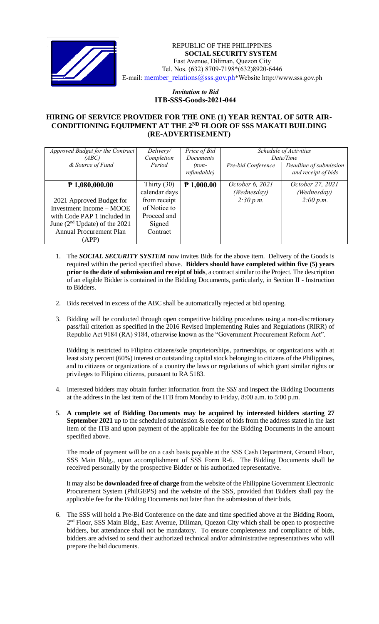

 *Invitation to Bid* REPUBLIC OF THE PHILIPPINES **SOCIAL SECURITY SYSTEM** East Avenue, Diliman, Quezon City Tel. Nos. (632) 8709-7198\*(632)8920-6446 E-mail: [member\\_relations@sss.gov.ph](mailto:member_relations@sss.gov.ph)\*Website http://www.sss.gov.ph

## *Invitation to Bid*  **ITB-SSS-Goods-2021-044**

## **HIRING OF SERVICE PROVIDER FOR THE ONE (1) YEAR RENTAL OF 50TR AIR-CONDITIONING EQUIPMENT AT THE 2ND FLOOR OF SSS MAKATI BUILDING (RE-ADVERTISEMENT)**

| Approved Budget for the Contract<br>(ABC)<br>& Source of Fund                                                                                                                         | Delivery/<br>Completion<br>Period                                                                   | Price of Bid<br><b>Documents</b><br>$(non-$<br>refundable) | Pre-bid Conference                          | Schedule of Activities<br>Date/Time<br>Deadline of submission<br>and receipt of bids |
|---------------------------------------------------------------------------------------------------------------------------------------------------------------------------------------|-----------------------------------------------------------------------------------------------------|------------------------------------------------------------|---------------------------------------------|--------------------------------------------------------------------------------------|
| $P$ 1,080,000.00<br>2021 Approved Budget for<br>Investment Income – MOOE<br>with Code PAP 1 included in<br>June $(2nd Update)$ of the 2021<br><b>Annual Procurement Plan</b><br>(APP) | Thirty $(30)$<br>calendar days<br>from receipt<br>of Notice to<br>Proceed and<br>Signed<br>Contract | $P$ 1,000.00                                               | October 6, 2021<br>(Wednesday)<br>2:30 p.m. | October 27, 2021<br>(Wednesday)<br>2:00 p.m.                                         |

- 1. The *SOCIAL SECURITY SYSTEM* now invites Bids for the above item. Delivery of the Goods is required within the period specified above. **Bidders should have completed within five (5) years prior to the date of submission and receipt of bids**, a contract similar to the Project. The description of an eligible Bidder is contained in the Bidding Documents, particularly, in Section II - Instruction to Bidders.
- 2. Bids received in excess of the ABC shall be automatically rejected at bid opening.
- 3. Bidding will be conducted through open competitive bidding procedures using a non-discretionary pass/fail criterion as specified in the 2016 Revised Implementing Rules and Regulations (RIRR) of Republic Act 9184 (RA) 9184, otherwise known as the "Government Procurement Reform Act".

Bidding is restricted to Filipino citizens/sole proprietorships, partnerships, or organizations with at least sixty percent (60%) interest or outstanding capital stock belonging to citizens of the Philippines, and to citizens or organizations of a country the laws or regulations of which grant similar rights or privileges to Filipino citizens, pursuant to RA 5183.

- 4. Interested bidders may obtain further information from the *SSS* and inspect the Bidding Documents at the address in the last item of the ITB from Monday to Friday, 8:00 a.m. to 5:00 p.m.
- 5. **A complete set of Bidding Documents may be acquired by interested bidders starting 27 September 2021** up to the scheduled submission & receipt of bids from the address stated in the last item of the ITB and upon payment of the applicable fee for the Bidding Documents in the amount specified above.

The mode of payment will be on a cash basis payable at the SSS Cash Department, Ground Floor, SSS Main Bldg., upon accomplishment of SSS Form R-6. The Bidding Documents shall be received personally by the prospective Bidder or his authorized representative.

It may also be **downloaded free of charge** from the website of the Philippine Government Electronic Procurement System (PhilGEPS) and the website of the SSS*,* provided that Bidders shall pay the applicable fee for the Bidding Documents not later than the submission of their bids.

6. The SSS will hold a Pre-Bid Conference on the date and time specified above at the Bidding Room, 2<sup>nd</sup> Floor, SSS Main Bldg., East Avenue, Diliman, Quezon City which shall be open to prospective bidders, but attendance shall not be mandatory. To ensure completeness and compliance of bids, bidders are advised to send their authorized technical and/or administrative representatives who will prepare the bid documents.